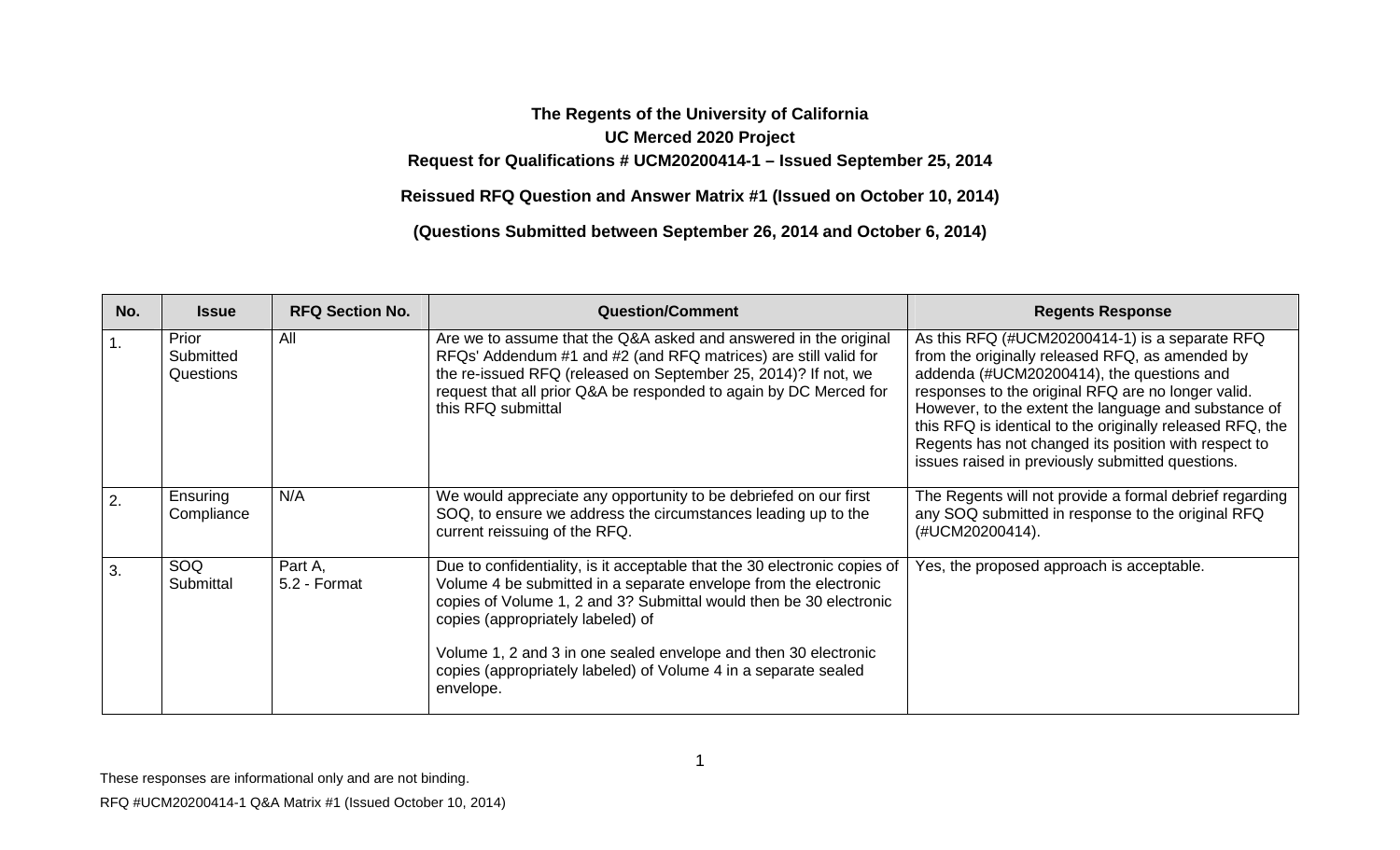## **The Regents of the University of California UC Merced 2020 Project Request for Qualifications # UCM20200414-1 – Issued September 25, 2014**

**Reissued RFQ Question and Answer Matrix #1 (Issued on October 10, 2014)**

**(Questions Submitted between September 26, 2014 and October 6, 2014)**

| No.            | <b>Issue</b>                    | <b>RFQ Section No.</b>  | <b>Question/Comment</b>                                                                                                                                                                                                                                                                                                                                                                                     | <b>Regents Response</b>                                                                                                                                                                                                                                                                                                                                                                                                               |
|----------------|---------------------------------|-------------------------|-------------------------------------------------------------------------------------------------------------------------------------------------------------------------------------------------------------------------------------------------------------------------------------------------------------------------------------------------------------------------------------------------------------|---------------------------------------------------------------------------------------------------------------------------------------------------------------------------------------------------------------------------------------------------------------------------------------------------------------------------------------------------------------------------------------------------------------------------------------|
| $\mathbf{1}$ . | Prior<br>Submitted<br>Questions | All                     | Are we to assume that the Q&A asked and answered in the original<br>RFQs' Addendum #1 and #2 (and RFQ matrices) are still valid for<br>the re-issued RFQ (released on September 25, 2014)? If not, we<br>request that all prior Q&A be responded to again by DC Merced for<br>this RFQ submittal                                                                                                            | As this RFQ (#UCM20200414-1) is a separate RFQ<br>from the originally released RFQ, as amended by<br>addenda (#UCM20200414), the questions and<br>responses to the original RFQ are no longer valid.<br>However, to the extent the language and substance of<br>this RFQ is identical to the originally released RFQ, the<br>Regents has not changed its position with respect to<br>issues raised in previously submitted questions. |
| 2.             | Ensuring<br>Compliance          | N/A                     | We would appreciate any opportunity to be debriefed on our first<br>SOQ, to ensure we address the circumstances leading up to the<br>current reissuing of the RFQ.                                                                                                                                                                                                                                          | The Regents will not provide a formal debrief regarding<br>any SOQ submitted in response to the original RFQ<br>(#UCM20200414).                                                                                                                                                                                                                                                                                                       |
| 3.             | SOQ<br>Submittal                | Part A.<br>5.2 - Format | Due to confidentiality, is it acceptable that the 30 electronic copies of<br>Volume 4 be submitted in a separate envelope from the electronic<br>copies of Volume 1, 2 and 3? Submittal would then be 30 electronic<br>copies (appropriately labeled) of<br>Volume 1, 2 and 3 in one sealed envelope and then 30 electronic<br>copies (appropriately labeled) of Volume 4 in a separate sealed<br>envelope. | Yes, the proposed approach is acceptable.                                                                                                                                                                                                                                                                                                                                                                                             |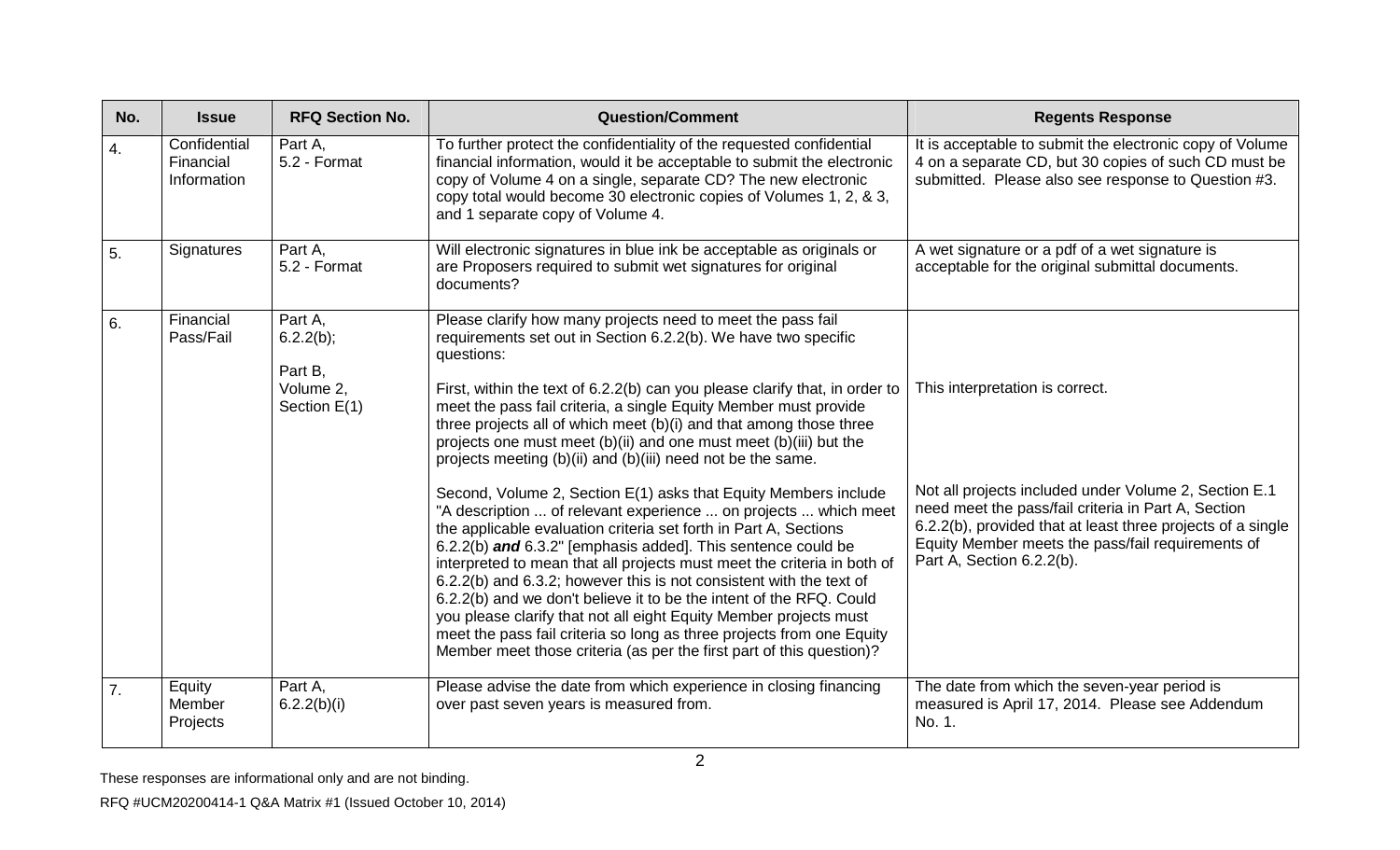| No. | <b>Issue</b>                             | <b>RFQ Section No.</b>                                       | <b>Question/Comment</b>                                                                                                                                                                                                                                                                                                                                                                                                                                                                                                                                                                                                                                                                                                                                                                                                                                                                                                                                                                                                                                                                                                                                                                                                           | <b>Regents Response</b>                                                                                                                                                                                                                                                                          |
|-----|------------------------------------------|--------------------------------------------------------------|-----------------------------------------------------------------------------------------------------------------------------------------------------------------------------------------------------------------------------------------------------------------------------------------------------------------------------------------------------------------------------------------------------------------------------------------------------------------------------------------------------------------------------------------------------------------------------------------------------------------------------------------------------------------------------------------------------------------------------------------------------------------------------------------------------------------------------------------------------------------------------------------------------------------------------------------------------------------------------------------------------------------------------------------------------------------------------------------------------------------------------------------------------------------------------------------------------------------------------------|--------------------------------------------------------------------------------------------------------------------------------------------------------------------------------------------------------------------------------------------------------------------------------------------------|
| 4.  | Confidential<br>Financial<br>Information | Part A,<br>5.2 - Format                                      | To further protect the confidentiality of the requested confidential<br>financial information, would it be acceptable to submit the electronic<br>copy of Volume 4 on a single, separate CD? The new electronic<br>copy total would become 30 electronic copies of Volumes 1, 2, & 3,<br>and 1 separate copy of Volume 4.                                                                                                                                                                                                                                                                                                                                                                                                                                                                                                                                                                                                                                                                                                                                                                                                                                                                                                         | It is acceptable to submit the electronic copy of Volume<br>4 on a separate CD, but 30 copies of such CD must be<br>submitted. Please also see response to Question #3.                                                                                                                          |
| 5.  | Signatures                               | Part A.<br>5.2 - Format                                      | Will electronic signatures in blue ink be acceptable as originals or<br>are Proposers required to submit wet signatures for original<br>documents?                                                                                                                                                                                                                                                                                                                                                                                                                                                                                                                                                                                                                                                                                                                                                                                                                                                                                                                                                                                                                                                                                | A wet signature or a pdf of a wet signature is<br>acceptable for the original submittal documents.                                                                                                                                                                                               |
| 6.  | Financial<br>Pass/Fail                   | Part A,<br>6.2.2(b);<br>Part B,<br>Volume 2,<br>Section E(1) | Please clarify how many projects need to meet the pass fail<br>requirements set out in Section 6.2.2(b). We have two specific<br>questions:<br>First, within the text of 6.2.2(b) can you please clarify that, in order to<br>meet the pass fail criteria, a single Equity Member must provide<br>three projects all of which meet (b)(i) and that among those three<br>projects one must meet (b)(ii) and one must meet (b)(iii) but the<br>projects meeting (b)(ii) and (b)(iii) need not be the same.<br>Second, Volume 2, Section E(1) asks that Equity Members include<br>"A description  of relevant experience  on projects  which meet<br>the applicable evaluation criteria set forth in Part A, Sections<br>6.2.2(b) and 6.3.2" [emphasis added]. This sentence could be<br>interpreted to mean that all projects must meet the criteria in both of<br>6.2.2(b) and 6.3.2; however this is not consistent with the text of<br>6.2.2(b) and we don't believe it to be the intent of the RFQ. Could<br>you please clarify that not all eight Equity Member projects must<br>meet the pass fail criteria so long as three projects from one Equity<br>Member meet those criteria (as per the first part of this question)? | This interpretation is correct.<br>Not all projects included under Volume 2, Section E.1<br>need meet the pass/fail criteria in Part A, Section<br>6.2.2(b), provided that at least three projects of a single<br>Equity Member meets the pass/fail requirements of<br>Part A, Section 6.2.2(b). |
| 7.  | Equity<br>Member<br>Projects             | Part A,<br>6.2.2(b)(i)                                       | Please advise the date from which experience in closing financing<br>over past seven years is measured from.                                                                                                                                                                                                                                                                                                                                                                                                                                                                                                                                                                                                                                                                                                                                                                                                                                                                                                                                                                                                                                                                                                                      | The date from which the seven-year period is<br>measured is April 17, 2014. Please see Addendum<br>No. 1.                                                                                                                                                                                        |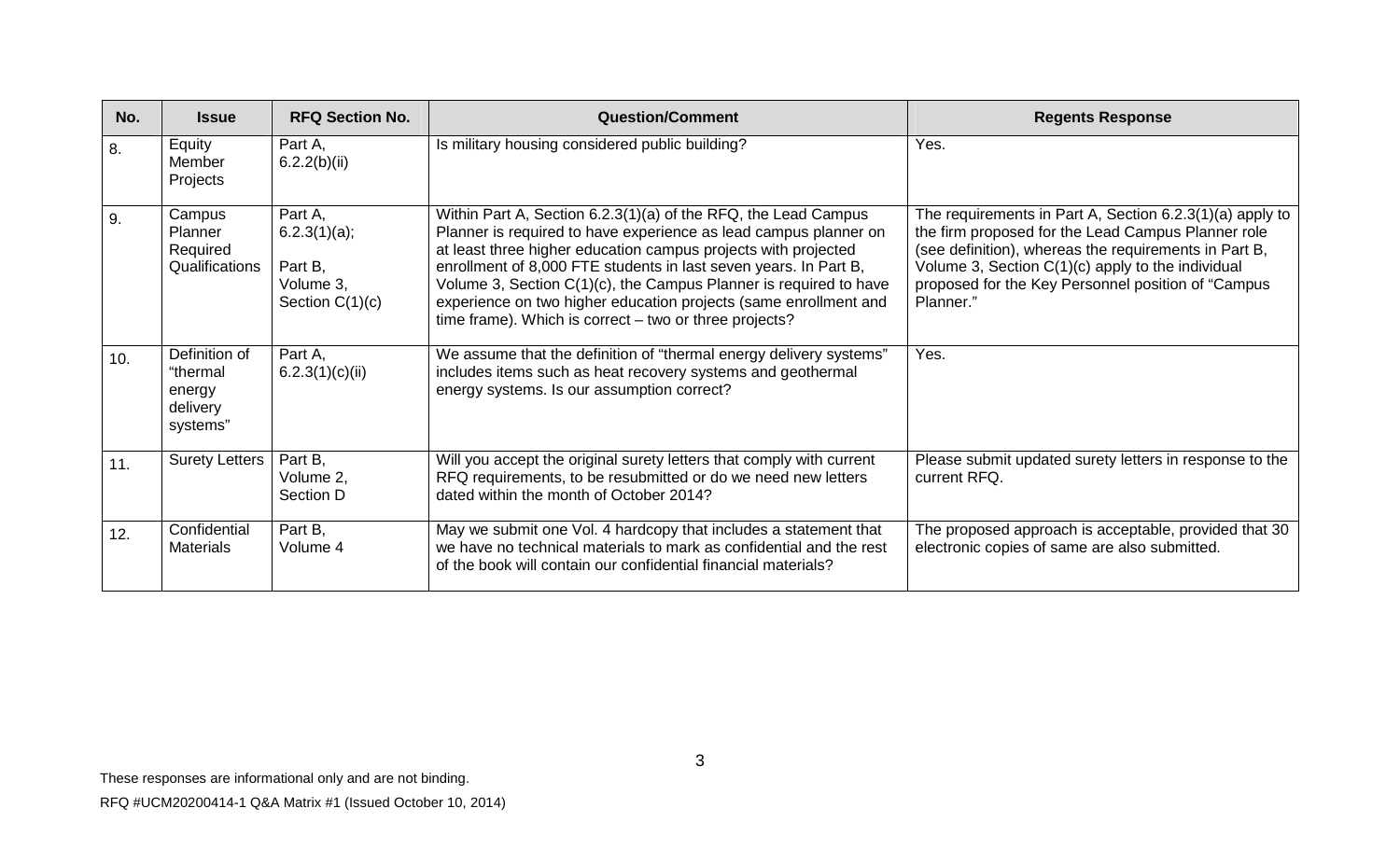| No. | <b>Issue</b>                                                | <b>RFQ Section No.</b>                                               | <b>Question/Comment</b>                                                                                                                                                                                                                                                                                                                                                                                                                                                     | <b>Regents Response</b>                                                                                                                                                                                                                                                                            |
|-----|-------------------------------------------------------------|----------------------------------------------------------------------|-----------------------------------------------------------------------------------------------------------------------------------------------------------------------------------------------------------------------------------------------------------------------------------------------------------------------------------------------------------------------------------------------------------------------------------------------------------------------------|----------------------------------------------------------------------------------------------------------------------------------------------------------------------------------------------------------------------------------------------------------------------------------------------------|
| 8.  | Equity<br>Member<br>Projects                                | Part A,<br>6.2.2(b)(ii)                                              | Is military housing considered public building?                                                                                                                                                                                                                                                                                                                                                                                                                             | Yes.                                                                                                                                                                                                                                                                                               |
| 9.  | Campus<br>Planner<br>Required<br>Qualifications             | Part A,<br>6.2.3(1)(a);<br>Part B,<br>Volume 3,<br>Section $C(1)(c)$ | Within Part A, Section 6.2.3(1)(a) of the RFQ, the Lead Campus<br>Planner is required to have experience as lead campus planner on<br>at least three higher education campus projects with projected<br>enrollment of 8,000 FTE students in last seven years. In Part B,<br>Volume 3, Section C(1)(c), the Campus Planner is required to have<br>experience on two higher education projects (same enrollment and<br>time frame). Which is correct – two or three projects? | The requirements in Part A, Section 6.2.3(1)(a) apply to<br>the firm proposed for the Lead Campus Planner role<br>(see definition), whereas the requirements in Part B,<br>Volume 3, Section $C(1)(c)$ apply to the individual<br>proposed for the Key Personnel position of "Campus"<br>Planner." |
| 10. | Definition of<br>"thermal<br>energy<br>delivery<br>systems" | Part A,<br>6.2.3(1)(c)(ii)                                           | We assume that the definition of "thermal energy delivery systems"<br>includes items such as heat recovery systems and geothermal<br>energy systems. Is our assumption correct?                                                                                                                                                                                                                                                                                             | Yes.                                                                                                                                                                                                                                                                                               |
| 11. | Surety Letters                                              | Part B,<br>Volume 2,<br>Section D                                    | Will you accept the original surety letters that comply with current<br>RFQ requirements, to be resubmitted or do we need new letters<br>dated within the month of October 2014?                                                                                                                                                                                                                                                                                            | Please submit updated surety letters in response to the<br>current RFQ.                                                                                                                                                                                                                            |
| 12. | Confidential<br><b>Materials</b>                            | Part B,<br>Volume 4                                                  | May we submit one Vol. 4 hardcopy that includes a statement that<br>we have no technical materials to mark as confidential and the rest<br>of the book will contain our confidential financial materials?                                                                                                                                                                                                                                                                   | The proposed approach is acceptable, provided that 30<br>electronic copies of same are also submitted.                                                                                                                                                                                             |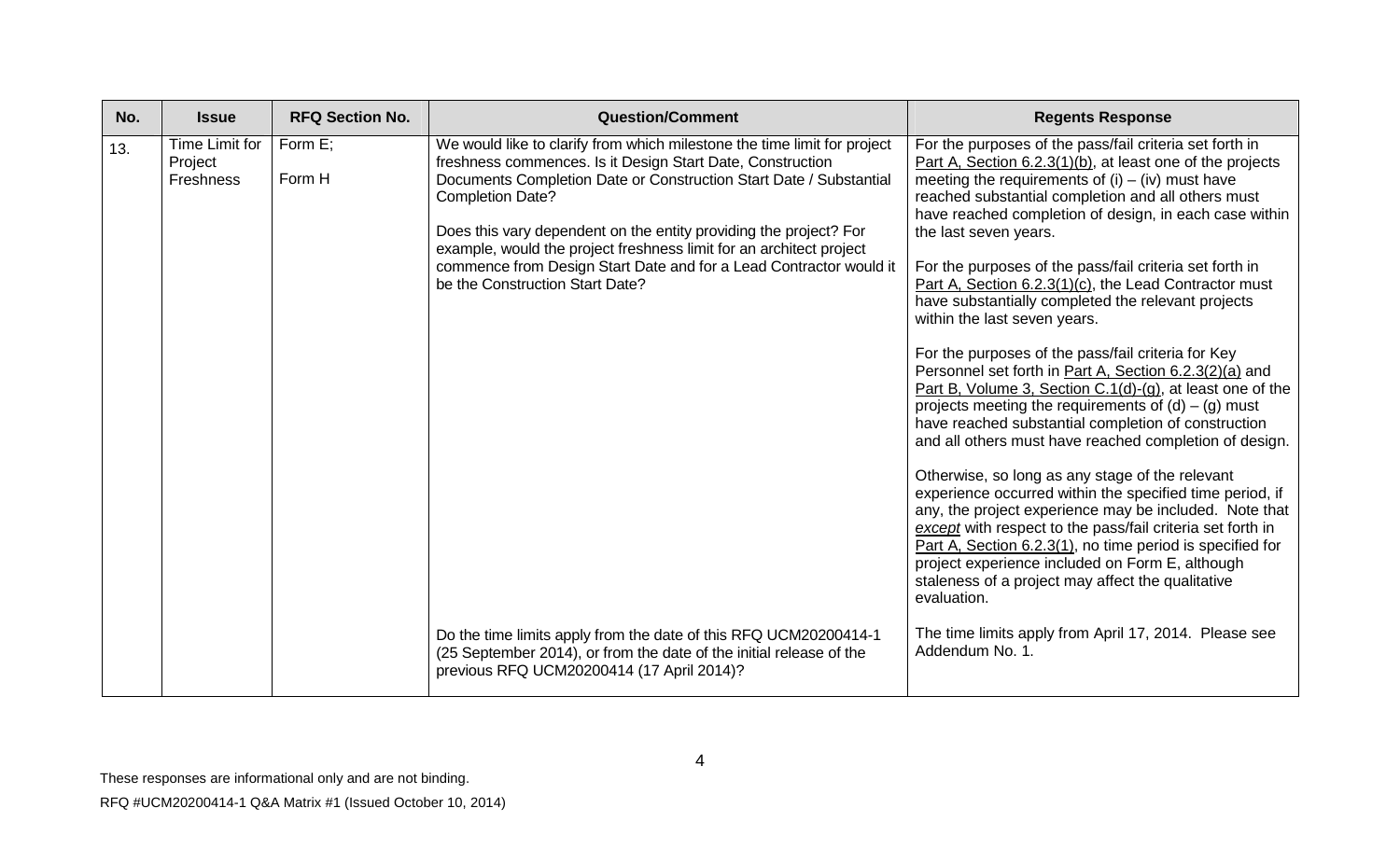| No. | <b>Issue</b>                           | <b>RFQ Section No.</b> | <b>Question/Comment</b>                                                                                                                                                                                                                                                                                                                                                                                                                                                                                                                                          | <b>Regents Response</b>                                                                                                                                                                                                                                                                                                                                                                                                                                                                                                                                                                                                                                                                                                                                                                                                                                                                                                                                                                                                                                                                                                                                                                                                                                                                                                                                                  |
|-----|----------------------------------------|------------------------|------------------------------------------------------------------------------------------------------------------------------------------------------------------------------------------------------------------------------------------------------------------------------------------------------------------------------------------------------------------------------------------------------------------------------------------------------------------------------------------------------------------------------------------------------------------|--------------------------------------------------------------------------------------------------------------------------------------------------------------------------------------------------------------------------------------------------------------------------------------------------------------------------------------------------------------------------------------------------------------------------------------------------------------------------------------------------------------------------------------------------------------------------------------------------------------------------------------------------------------------------------------------------------------------------------------------------------------------------------------------------------------------------------------------------------------------------------------------------------------------------------------------------------------------------------------------------------------------------------------------------------------------------------------------------------------------------------------------------------------------------------------------------------------------------------------------------------------------------------------------------------------------------------------------------------------------------|
| 13. | Time Limit for<br>Project<br>Freshness | Form E:<br>Form H      | We would like to clarify from which milestone the time limit for project<br>freshness commences. Is it Design Start Date, Construction<br>Documents Completion Date or Construction Start Date / Substantial<br><b>Completion Date?</b><br>Does this vary dependent on the entity providing the project? For<br>example, would the project freshness limit for an architect project<br>commence from Design Start Date and for a Lead Contractor would it<br>be the Construction Start Date?<br>Do the time limits apply from the date of this RFQ UCM20200414-1 | For the purposes of the pass/fail criteria set forth in<br>Part A, Section 6.2.3(1)(b), at least one of the projects<br>meeting the requirements of $(i) - (iv)$ must have<br>reached substantial completion and all others must<br>have reached completion of design, in each case within<br>the last seven years.<br>For the purposes of the pass/fail criteria set forth in<br>Part A, Section 6.2.3(1)(c), the Lead Contractor must<br>have substantially completed the relevant projects<br>within the last seven years.<br>For the purposes of the pass/fail criteria for Key<br>Personnel set forth in Part A, Section 6.2.3(2)(a) and<br>Part B, Volume 3, Section C.1(d)-(g), at least one of the<br>projects meeting the requirements of $(d) - (g)$ must<br>have reached substantial completion of construction<br>and all others must have reached completion of design.<br>Otherwise, so long as any stage of the relevant<br>experience occurred within the specified time period, if<br>any, the project experience may be included. Note that<br>except with respect to the pass/fail criteria set forth in<br>Part A, Section 6.2.3(1), no time period is specified for<br>project experience included on Form E, although<br>staleness of a project may affect the qualitative<br>evaluation.<br>The time limits apply from April 17, 2014. Please see |
|     |                                        |                        | (25 September 2014), or from the date of the initial release of the<br>previous RFQ UCM20200414 (17 April 2014)?                                                                                                                                                                                                                                                                                                                                                                                                                                                 | Addendum No. 1.                                                                                                                                                                                                                                                                                                                                                                                                                                                                                                                                                                                                                                                                                                                                                                                                                                                                                                                                                                                                                                                                                                                                                                                                                                                                                                                                                          |